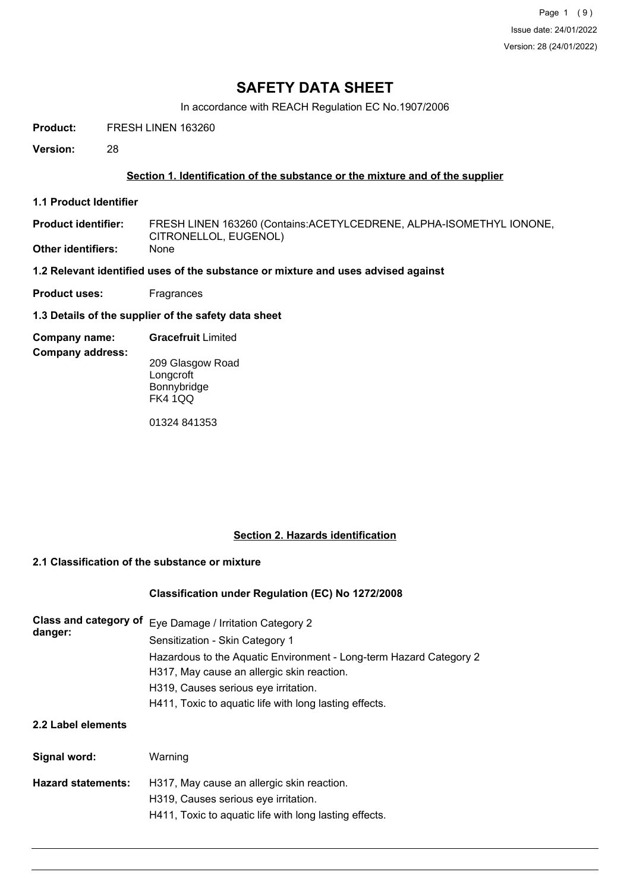Page 1 (9) Issue date: 24/01/2022 Version: 28 (24/01/2022)

## **SAFETY DATA SHEET**

In accordance with REACH Regulation EC No.1907/2006

**Product:** FRESH LINEN 163260

**Version:** 28

#### **Section 1. Identification of the substance or the mixture and of the supplier**

**1.1 Product Identifier**

FRESH LINEN 163260 (Contains:ACETYLCEDRENE, ALPHA-ISOMETHYL IONONE, CITRONELLOL, EUGENOL) **Product identifier: Other identifiers:** 

- **1.2 Relevant identified uses of the substance or mixture and uses advised against**
- **Product uses:** Fragrances
- **1.3 Details of the supplier of the safety data sheet**
- **Company name: Gracefruit** Limited

**Company address:**

209 Glasgow Road Longcroft Bonnybridge FK4 1QQ

01324 841353

## **Section 2. Hazards identification**

#### **2.1 Classification of the substance or mixture**

#### **Classification under Regulation (EC) No 1272/2008**

| Class and category of<br>danger: | Eye Damage / Irritation Category 2<br>Sensitization - Skin Category 1                                            |  |  |  |  |
|----------------------------------|------------------------------------------------------------------------------------------------------------------|--|--|--|--|
|                                  | Hazardous to the Aquatic Environment - Long-term Hazard Category 2<br>H317, May cause an allergic skin reaction. |  |  |  |  |
|                                  | H319, Causes serious eye irritation.                                                                             |  |  |  |  |
|                                  | H411, Toxic to aguatic life with long lasting effects.                                                           |  |  |  |  |
| 2.2 Label elements               |                                                                                                                  |  |  |  |  |
| Signal word:                     | Warning                                                                                                          |  |  |  |  |
| <b>Hazard statements:</b>        | H317, May cause an allergic skin reaction.                                                                       |  |  |  |  |
|                                  | H319, Causes serious eye irritation.                                                                             |  |  |  |  |
|                                  | H411, Toxic to aquatic life with long lasting effects.                                                           |  |  |  |  |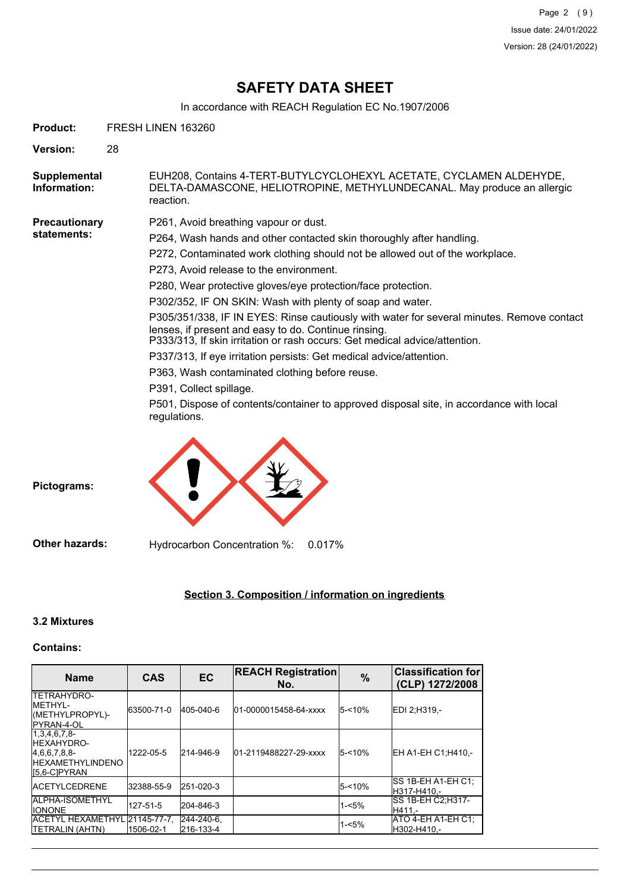In accordance with REACH Regulation EC No.1907/2006

| Product:                            | FRESH LINEN 163260 |                                                                                                                                                                                                                                                                                                                                                                                                                                                                                                                                                                                                                                                                                                                                                                                                                                                                         |  |  |  |
|-------------------------------------|--------------------|-------------------------------------------------------------------------------------------------------------------------------------------------------------------------------------------------------------------------------------------------------------------------------------------------------------------------------------------------------------------------------------------------------------------------------------------------------------------------------------------------------------------------------------------------------------------------------------------------------------------------------------------------------------------------------------------------------------------------------------------------------------------------------------------------------------------------------------------------------------------------|--|--|--|
| <b>Version:</b>                     | 28                 |                                                                                                                                                                                                                                                                                                                                                                                                                                                                                                                                                                                                                                                                                                                                                                                                                                                                         |  |  |  |
| Supplemental<br>Information:        |                    | EUH208, Contains 4-TERT-BUTYLCYCLOHEXYL ACETATE, CYCLAMEN ALDEHYDE,<br>DELTA-DAMASCONE, HELIOTROPINE, METHYLUNDECANAL. May produce an allergic<br>reaction.                                                                                                                                                                                                                                                                                                                                                                                                                                                                                                                                                                                                                                                                                                             |  |  |  |
| <b>Precautionary</b><br>statements: |                    | P261, Avoid breathing vapour or dust.<br>P264, Wash hands and other contacted skin thoroughly after handling.<br>P272, Contaminated work clothing should not be allowed out of the workplace.<br>P273, Avoid release to the environment.<br>P280, Wear protective gloves/eye protection/face protection.<br>P302/352, IF ON SKIN: Wash with plenty of soap and water.<br>P305/351/338, IF IN EYES: Rinse cautiously with water for several minutes. Remove contact<br>lenses, if present and easy to do. Continue rinsing.<br>P333/313, If skin irritation or rash occurs: Get medical advice/attention.<br>P337/313, If eye irritation persists: Get medical advice/attention.<br>P363, Wash contaminated clothing before reuse.<br>P391, Collect spillage.<br>P501, Dispose of contents/container to approved disposal site, in accordance with local<br>regulations. |  |  |  |
| Pictograms:                         |                    |                                                                                                                                                                                                                                                                                                                                                                                                                                                                                                                                                                                                                                                                                                                                                                                                                                                                         |  |  |  |

**Other hazards:** Hydrocarbon Concentration %: 0.017%

## **Section 3. Composition / information on ingredients**

## **3.2 Mixtures**

## **Contains:**

| <b>Name</b>                                                                                               | <b>CAS</b> | <b>EC</b>               | <b>REACH Registration</b><br>No. | $\%$      | <b>Classification for</b><br>(CLP) 1272/2008 |
|-----------------------------------------------------------------------------------------------------------|------------|-------------------------|----------------------------------|-----------|----------------------------------------------|
| <b>ITETRAHYDRO-</b><br>IMFTHYI -<br>(METHYLPROPYL)-<br><b>IPYRAN-4-OL</b>                                 | 63500-71-0 | 405-040-6               | 01-0000015458-64-xxxx            | $5 - 10%$ | EDI 2;H319,-                                 |
| 1,3,4,6,7,8<br><b>HEXAHYDRO-</b><br>[4,6,6,7,8,8]<br><b>HEXAMETHYLINDENO</b><br>I <sub>5.6</sub> -CIPYRAN | 1222-05-5  | 214-946-9               | 01-2119488227-29-xxxx            | $5 - 10%$ | EH A1-EH C1:H410 .-                          |
| <b>IACETYLCEDRENE</b>                                                                                     | 32388-55-9 | 251-020-3               |                                  | $5 - 10%$ | ISS 1B-EH A1-EH C1:<br>H317-H410.-           |
| <b>IALPHA-ISOMETHYL</b><br><b>IIONONE</b>                                                                 | 127-51-5   | 204-846-3               |                                  | $1 - 5%$  | ISS 1B-EH C2:H317-<br>IH411.-                |
| ACETYL HEXAMETHYL 21145-77-7.<br><b>ITETRALIN (AHTN)</b>                                                  | 1506-02-1  | 244-240-6.<br>216-133-4 |                                  | $1 - 5%$  | ATO 4-EH A1-EH C1:<br>H302-H410,-            |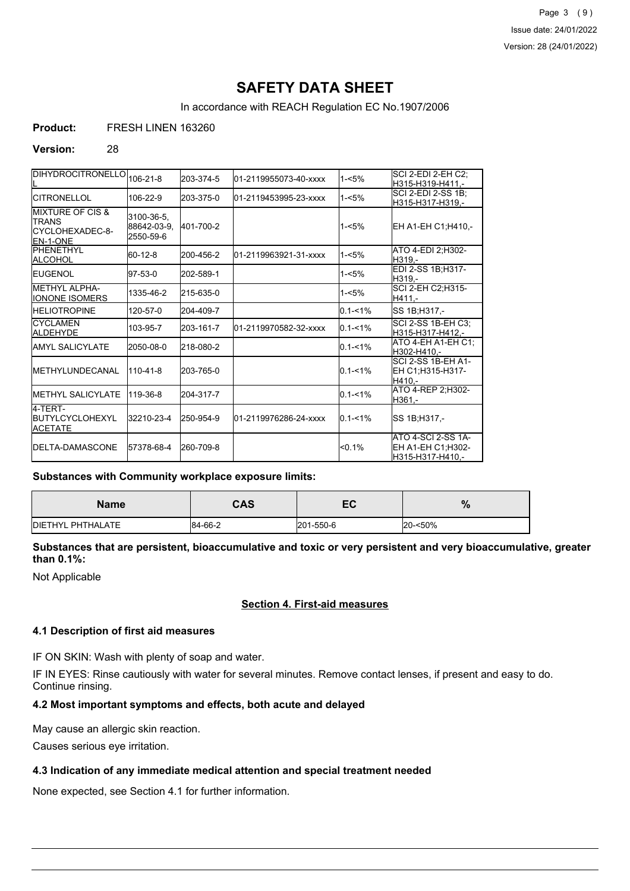In accordance with REACH Regulation EC No.1907/2006

**Product:** FRESH LINEN 163260

#### **Version:** 28

| DIHYDROCITRONELLO 106-21-8                                                          |                                        | 203-374-5 | 01-2119955073-40-xxxx  | $1 - 5%$    | SCI 2-EDI 2-EH C2;<br>H315-H319-H411.-                      |
|-------------------------------------------------------------------------------------|----------------------------------------|-----------|------------------------|-------------|-------------------------------------------------------------|
| <b>CITRONELLOL</b>                                                                  | 106-22-9                               | 203-375-0 | l01-2119453995-23-xxxx | $1 - 5%$    | SCI 2-EDI 2-SS 1B;<br>H315-H317-H319,-                      |
| <b>IMIXTURE OF CIS &amp;</b><br><b>TRANS</b><br>CYCLOHEXADEC-8-<br><b>IEN-1-ONE</b> | 3100-36-5,<br>88642-03-9,<br>2550-59-6 | 401-700-2 |                        | $1 - 5%$    | EH A1-EH C1;H410,-                                          |
| <b>IPHENETHYL</b><br>ALCOHOL                                                        | 60-12-8                                | 200-456-2 | l01-2119963921-31-xxxx | $1 - 5%$    | ATO 4-EDI 2:H302-<br>H319,-                                 |
| <b>IEUGENOL</b>                                                                     | 97-53-0                                | 202-589-1 |                        | $1 - 5%$    | EDI 2-SS 1B;H317-<br>H319.-                                 |
| METHYL ALPHA-<br><b>IONONE ISOMERS</b>                                              | 1335-46-2                              | 215-635-0 |                        | $1 - 5%$    | SCI 2-EH C2;H315-<br>H411.-                                 |
| <b>HELIOTROPINE</b>                                                                 | 120-57-0                               | 204-409-7 |                        | $0.1 - 1\%$ | SS 1B; H317,-                                               |
| <b>CYCLAMEN</b><br><b>ALDEHYDE</b>                                                  | 103-95-7                               | 203-161-7 | l01-2119970582-32-xxxx | $0.1 - 1\%$ | SCI 2-SS 1B-EH C3;<br>H315-H317-H412.-                      |
| IAMYL SALICYLATE                                                                    | 2050-08-0                              | 218-080-2 |                        | $0.1 - 1%$  | ATO 4-EH A1-EH C1;<br>H302-H410,-                           |
| <b>IMETHYLUNDECANAL</b>                                                             | 110-41-8                               | 203-765-0 |                        | $0.1 - 1\%$ | <b>SCI 2-SS 1B-EH A1-</b><br>EH C1;H315-H317-<br>H410.-     |
| <b>IMETHYL SALICYLATE</b>                                                           | 119-36-8                               | 204-317-7 |                        | $0.1 - 1\%$ | ATO 4-REP 2, H302-<br>H361.-                                |
| 4-TFRT-<br><b>IBUTYLCYCLOHEXYL</b><br><b>IACETATE</b>                               | 32210-23-4                             | 250-954-9 | l01-2119976286-24-xxxx | $0.1 - 1\%$ | SS 1B;H317,-                                                |
| <b>IDELTA-DAMASCONE</b>                                                             | 57378-68-4                             | 260-709-8 |                        | $< 0.1\%$   | ATO 4-SCI 2-SS 1A-<br>EH A1-EH C1;H302-<br>H315-H317-H410.- |

#### **Substances with Community workplace exposure limits:**

| <b>Name</b>       | CAS     | гΩ<br>cu  | 0<br>70 |
|-------------------|---------|-----------|---------|
| DIETHYL PHTHALATE | 84-66-2 | 201-550-6 | 20-<50% |

## **Substances that are persistent, bioaccumulative and toxic or very persistent and very bioaccumulative, greater than 0.1%:**

Not Applicable

## **Section 4. First-aid measures**

### **4.1 Description of first aid measures**

IF ON SKIN: Wash with plenty of soap and water.

IF IN EYES: Rinse cautiously with water for several minutes. Remove contact lenses, if present and easy to do. Continue rinsing.

## **4.2 Most important symptoms and effects, both acute and delayed**

May cause an allergic skin reaction.

Causes serious eye irritation.

#### **4.3 Indication of any immediate medical attention and special treatment needed**

None expected, see Section 4.1 for further information.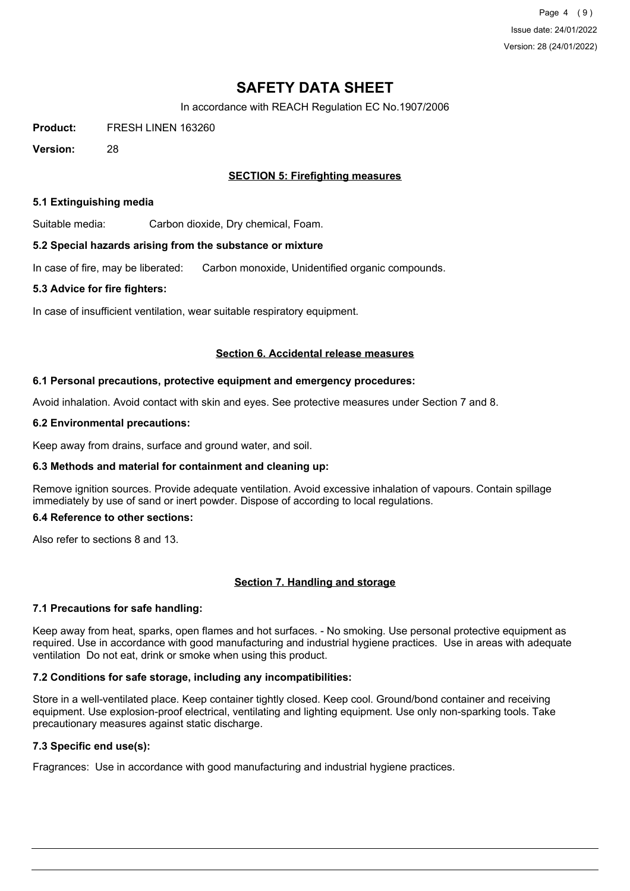Page 4 (9) Issue date: 24/01/2022 Version: 28 (24/01/2022)

# **SAFETY DATA SHEET**

In accordance with REACH Regulation EC No.1907/2006

**Product:** FRESH LINEN 163260

**Version:** 28

## **SECTION 5: Firefighting measures**

#### **5.1 Extinguishing media**

Suitable media: Carbon dioxide, Dry chemical, Foam.

#### **5.2 Special hazards arising from the substance or mixture**

In case of fire, may be liberated: Carbon monoxide, Unidentified organic compounds.

#### **5.3 Advice for fire fighters:**

In case of insufficient ventilation, wear suitable respiratory equipment.

#### **Section 6. Accidental release measures**

#### **6.1 Personal precautions, protective equipment and emergency procedures:**

Avoid inhalation. Avoid contact with skin and eyes. See protective measures under Section 7 and 8.

#### **6.2 Environmental precautions:**

Keep away from drains, surface and ground water, and soil.

#### **6.3 Methods and material for containment and cleaning up:**

Remove ignition sources. Provide adequate ventilation. Avoid excessive inhalation of vapours. Contain spillage immediately by use of sand or inert powder. Dispose of according to local regulations.

#### **6.4 Reference to other sections:**

Also refer to sections 8 and 13.

#### **Section 7. Handling and storage**

#### **7.1 Precautions for safe handling:**

Keep away from heat, sparks, open flames and hot surfaces. - No smoking. Use personal protective equipment as required. Use in accordance with good manufacturing and industrial hygiene practices. Use in areas with adequate ventilation Do not eat, drink or smoke when using this product.

#### **7.2 Conditions for safe storage, including any incompatibilities:**

Store in a well-ventilated place. Keep container tightly closed. Keep cool. Ground/bond container and receiving equipment. Use explosion-proof electrical, ventilating and lighting equipment. Use only non-sparking tools. Take precautionary measures against static discharge.

## **7.3 Specific end use(s):**

Fragrances: Use in accordance with good manufacturing and industrial hygiene practices.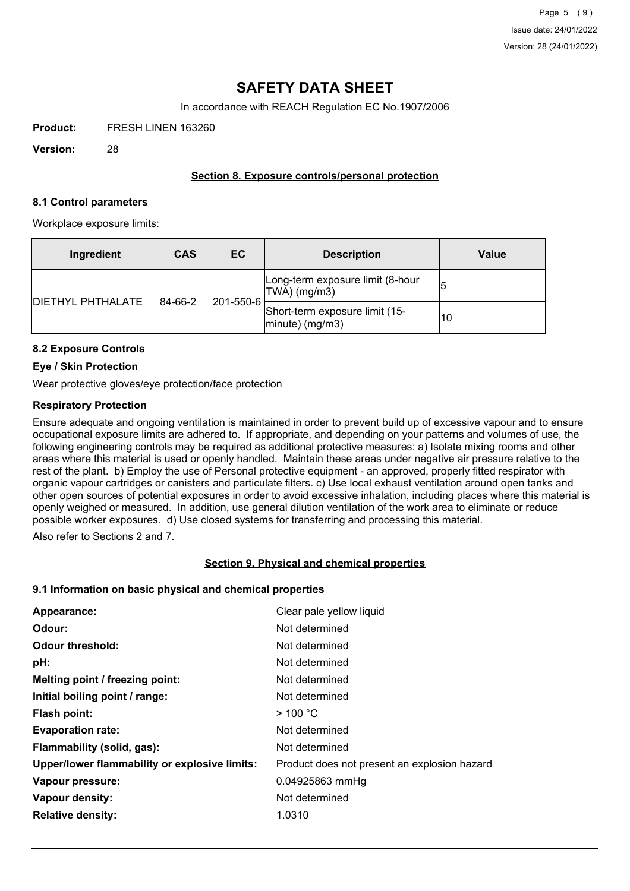In accordance with REACH Regulation EC No.1907/2006

**Product:** FRESH LINEN 163260

**Version:** 28

#### **Section 8. Exposure controls/personal protection**

#### **8.1 Control parameters**

Workplace exposure limits:

| Ingredient               | <b>CAS</b> | EC.               | <b>Description</b>                                       | Value |
|--------------------------|------------|-------------------|----------------------------------------------------------|-------|
| <b>DIETHYL PHTHALATE</b> | 84-66-2    | $ 201 - 550 - 6 $ | Long-term exposure limit (8-hour<br>TWA) (mg/m3)         |       |
|                          |            |                   | Short-term exposure limit (15-<br>$ $ minute $ $ (mg/m3) | 10    |

## **8.2 Exposure Controls**

#### **Eye / Skin Protection**

Wear protective gloves/eye protection/face protection

#### **Respiratory Protection**

Ensure adequate and ongoing ventilation is maintained in order to prevent build up of excessive vapour and to ensure occupational exposure limits are adhered to. If appropriate, and depending on your patterns and volumes of use, the following engineering controls may be required as additional protective measures: a) Isolate mixing rooms and other areas where this material is used or openly handled. Maintain these areas under negative air pressure relative to the rest of the plant. b) Employ the use of Personal protective equipment - an approved, properly fitted respirator with organic vapour cartridges or canisters and particulate filters. c) Use local exhaust ventilation around open tanks and other open sources of potential exposures in order to avoid excessive inhalation, including places where this material is openly weighed or measured. In addition, use general dilution ventilation of the work area to eliminate or reduce possible worker exposures. d) Use closed systems for transferring and processing this material.

Also refer to Sections 2 and 7.

#### **Section 9. Physical and chemical properties**

#### **9.1 Information on basic physical and chemical properties**

| Appearance:                                   | Clear pale yellow liquid                     |
|-----------------------------------------------|----------------------------------------------|
| Odour:                                        | Not determined                               |
| Odour threshold:                              | Not determined                               |
| pH:                                           | Not determined                               |
| Melting point / freezing point:               | Not determined                               |
| Initial boiling point / range:                | Not determined                               |
| <b>Flash point:</b>                           | $>$ 100 °C                                   |
| <b>Evaporation rate:</b>                      | Not determined                               |
| Flammability (solid, gas):                    | Not determined                               |
| Upper/lower flammability or explosive limits: | Product does not present an explosion hazard |
| Vapour pressure:                              | 0.04925863 mmHg                              |
| Vapour density:                               | Not determined                               |
| <b>Relative density:</b>                      | 1.0310                                       |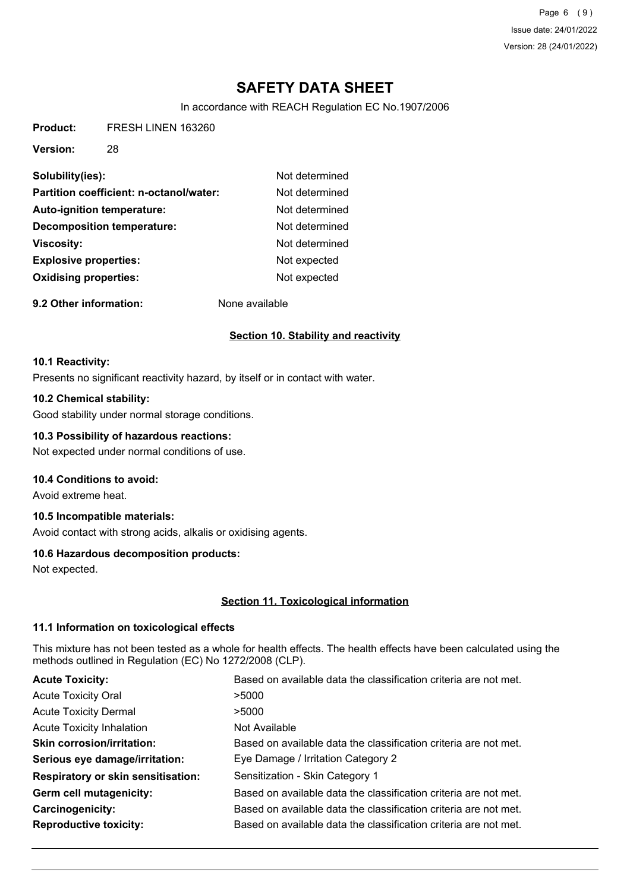Page 6 (9) Issue date: 24/01/2022 Version: 28 (24/01/2022)

# **SAFETY DATA SHEET**

In accordance with REACH Regulation EC No.1907/2006

**Product:** FRESH LINEN 163260

**Version:** 28

| Solubility(ies):                        | Not determined |
|-----------------------------------------|----------------|
| Partition coefficient: n-octanol/water: | Not determined |
| <b>Auto-ignition temperature:</b>       | Not determined |
| Decomposition temperature:              | Not determined |
| <b>Viscosity:</b>                       | Not determined |
| <b>Explosive properties:</b>            | Not expected   |
| <b>Oxidising properties:</b>            | Not expected   |
|                                         |                |

**9.2 Other information:** None available

## **Section 10. Stability and reactivity**

#### **10.1 Reactivity:**

Presents no significant reactivity hazard, by itself or in contact with water.

## **10.2 Chemical stability:**

Good stability under normal storage conditions.

#### **10.3 Possibility of hazardous reactions:**

Not expected under normal conditions of use.

#### **10.4 Conditions to avoid:**

Avoid extreme heat.

## **10.5 Incompatible materials:**

Avoid contact with strong acids, alkalis or oxidising agents.

#### **10.6 Hazardous decomposition products:**

Not expected.

#### **Section 11. Toxicological information**

#### **11.1 Information on toxicological effects**

This mixture has not been tested as a whole for health effects. The health effects have been calculated using the methods outlined in Regulation (EC) No 1272/2008 (CLP).

| <b>Acute Toxicity:</b>                    | Based on available data the classification criteria are not met. |
|-------------------------------------------|------------------------------------------------------------------|
| <b>Acute Toxicity Oral</b>                | >5000                                                            |
| <b>Acute Toxicity Dermal</b>              | >5000                                                            |
| <b>Acute Toxicity Inhalation</b>          | Not Available                                                    |
| <b>Skin corrosion/irritation:</b>         | Based on available data the classification criteria are not met. |
| Serious eye damage/irritation:            | Eye Damage / Irritation Category 2                               |
| <b>Respiratory or skin sensitisation:</b> | Sensitization - Skin Category 1                                  |
| Germ cell mutagenicity:                   | Based on available data the classification criteria are not met. |
| Carcinogenicity:                          | Based on available data the classification criteria are not met. |
| <b>Reproductive toxicity:</b>             | Based on available data the classification criteria are not met. |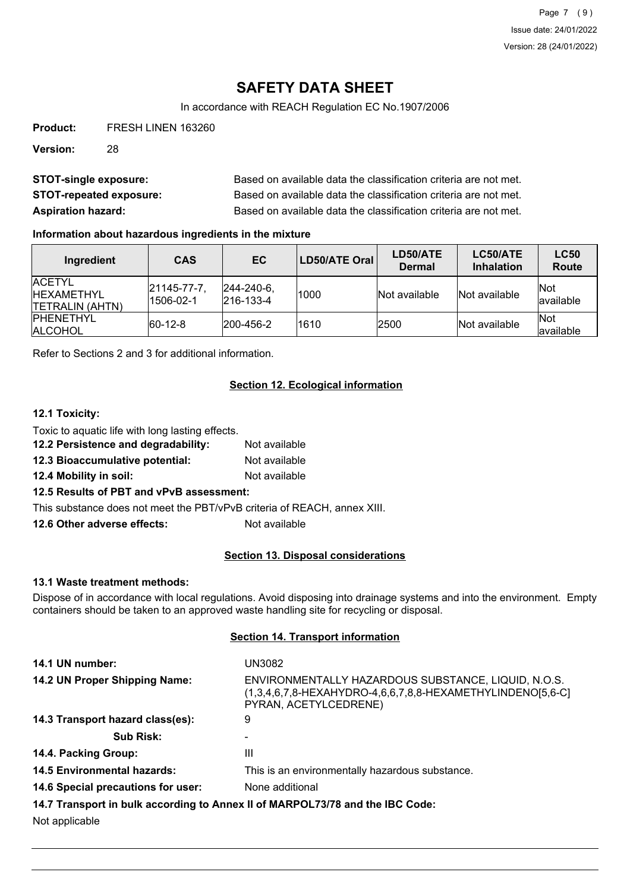In accordance with REACH Regulation EC No.1907/2006

**Product:** FRESH LINEN 163260

**Version:** 28

| <b>STOT-single exposure:</b>   | Based on available data the classification criteria are not met. |
|--------------------------------|------------------------------------------------------------------|
| <b>STOT-repeated exposure:</b> | Based on available data the classification criteria are not met. |
| <b>Aspiration hazard:</b>      | Based on available data the classification criteria are not met. |

## **Information about hazardous ingredients in the mixture**

| Ingredient                                                      | <b>CAS</b>               | EC                                     | LD50/ATE Oral | LD50/ATE<br><b>Dermal</b> | LC50/ATE<br><b>Inhalation</b> | <b>LC50</b><br><b>Route</b> |
|-----------------------------------------------------------------|--------------------------|----------------------------------------|---------------|---------------------------|-------------------------------|-----------------------------|
| <b>IACETYL</b><br><b>IHEXAMETHYL</b><br><b>ITETRALIN (AHTN)</b> | 21145-77-7.<br>1506-02-1 | $ 244 - 240 - 6 $<br>$ 216 - 133 - 4 $ | 1000          | Not available             | Not available                 | Not<br>available            |
| <b>IPHENETHYL</b><br><b>ALCOHOL</b>                             | $ 60-12-8 $              | 200-456-2                              | 1610          | 2500                      | Not available                 | <b>Not</b><br>available     |

Refer to Sections 2 and 3 for additional information.

## **Section 12. Ecological information**

## **12.1 Toxicity:**

| Toxic to aquatic life with long lasting effects. |               |
|--------------------------------------------------|---------------|
| 12.2 Persistence and degradability:              | Not available |
| 12.3 Bioaccumulative potential:                  | Not available |
| 12.4 Mobility in soil:                           | Not available |
|                                                  |               |

## **12.5 Results of PBT and vPvB assessment:**

This substance does not meet the PBT/vPvB criteria of REACH, annex XIII.

**12.6 Other adverse effects:** Not available

## **Section 13. Disposal considerations**

#### **13.1 Waste treatment methods:**

Dispose of in accordance with local regulations. Avoid disposing into drainage systems and into the environment. Empty containers should be taken to an approved waste handling site for recycling or disposal.

## **Section 14. Transport information**

| 14.1 UN number:                    | UN3082                                                                                                                                     |
|------------------------------------|--------------------------------------------------------------------------------------------------------------------------------------------|
| 14.2 UN Proper Shipping Name:      | ENVIRONMENTALLY HAZARDOUS SUBSTANCE, LIQUID, N.O.S.<br>(1,3,4,6,7,8-HEXAHYDRO-4,6,6,7,8,8-HEXAMETHYLINDENO[5,6-C]<br>PYRAN, ACETYLCEDRENE) |
| 14.3 Transport hazard class(es):   | 9                                                                                                                                          |
| <b>Sub Risk:</b>                   |                                                                                                                                            |
| 14.4. Packing Group:               | Ш                                                                                                                                          |
| <b>14.5 Environmental hazards:</b> | This is an environmentally hazardous substance.                                                                                            |
| 14.6 Special precautions for user: | None additional                                                                                                                            |
|                                    | 14.7 Transport in bulk according to Annex II of MARPOL73/78 and the IBC Code:                                                              |
| Not annlicable                     |                                                                                                                                            |

Not applicable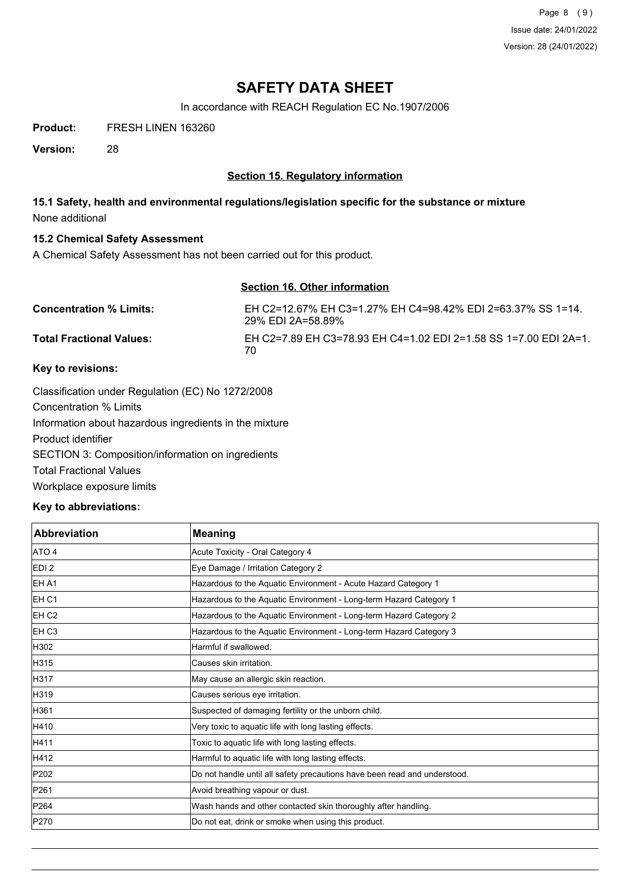Page 8 (9) Issue date: 24/01/2022 Version: 28 (24/01/2022)

## **SAFETY DATA SHEET**

In accordance with REACH Regulation EC No.1907/2006

**Product:** FRESH LINEN 163260

**Version:** 28

## **Section 15. Regulatory information**

## **15.1 Safety, health and environmental regulations/legislation specific for the substance or mixture** None additional

#### **15.2 Chemical Safety Assessment**

A Chemical Safety Assessment has not been carried out for this product.

## **Section 16. Other information**

| <b>Concentration % Limits:</b>  | EH C2=12.67% EH C3=1.27% EH C4=98.42% EDI 2=63.37% SS 1=14.<br>29% EDI 2A=58.89% |
|---------------------------------|----------------------------------------------------------------------------------|
| <b>Total Fractional Values:</b> | EH C2=7.89 EH C3=78.93 EH C4=1.02 EDI 2=1.58 SS 1=7.00 EDI 2A=1.<br>70           |

## **Key to revisions:**

Classification under Regulation (EC) No 1272/2008 Concentration % Limits Information about hazardous ingredients in the mixture Product identifier SECTION 3: Composition/information on ingredients Total Fractional Values Workplace exposure limits

#### **Key to abbreviations:**

| <b>Abbreviation</b> | <b>Meaning</b>                                                            |
|---------------------|---------------------------------------------------------------------------|
| ATO 4               | Acute Toxicity - Oral Category 4                                          |
| EDI <sub>2</sub>    | Eye Damage / Irritation Category 2                                        |
| <b>IEH A1</b>       | Hazardous to the Aquatic Environment - Acute Hazard Category 1            |
| <b>IEH C1</b>       | Hazardous to the Aquatic Environment - Long-term Hazard Category 1        |
| EH <sub>C2</sub>    | Hazardous to the Aquatic Environment - Long-term Hazard Category 2        |
| <b>IEH C3</b>       | Hazardous to the Aquatic Environment - Long-term Hazard Category 3        |
| H302                | Harmful if swallowed.                                                     |
| H315                | Causes skin irritation.                                                   |
| H317                | May cause an allergic skin reaction.                                      |
| H319                | Causes serious eye irritation.                                            |
| H361                | Suspected of damaging fertility or the unborn child.                      |
| H410                | Very toxic to aquatic life with long lasting effects.                     |
| H411                | Toxic to aquatic life with long lasting effects.                          |
| H412                | Harmful to aquatic life with long lasting effects.                        |
| P202                | Do not handle until all safety precautions have been read and understood. |
| P261                | Avoid breathing vapour or dust.                                           |
| P264                | Wash hands and other contacted skin thoroughly after handling.            |
| P270                | Do not eat, drink or smoke when using this product.                       |